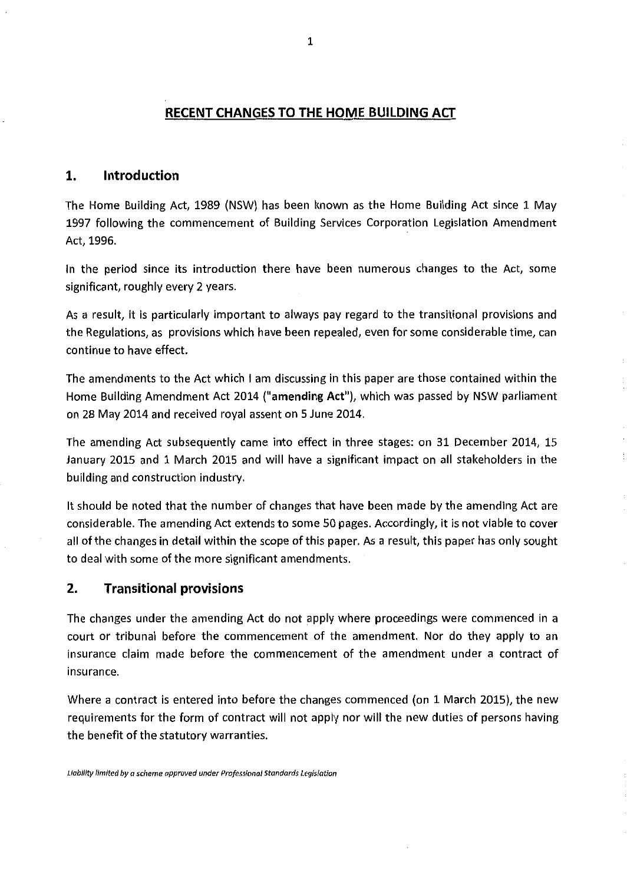#### **RECENT CHANGES TO THE HOME BUILDING ACT**

#### **1. Introduction**

The Home Building Act, 1989 (NSW) has been known as the Home Building Act since 1 May 1997 following the commencement of Building Services Corporation Legislation Amendment Act, 1996.

In the period since its introduction there have been numerous changes to the Act, some significant, roughly every 2 years.

As a result, it is particularly important to always pay regard to the transitional provisions and the Regulations, as provisions which have been repealed, even for some considerable time, can continue to have effect.

The amendments to the Act which I am discussing in this paper are those contained within the Home Building Amendment Act 2014 ("amending Act"), which was passed by NSW parliament on 28 May 2014 and received royal assent on 5 June 2014.

The amending Act subsequently came into effect in three stages: on 31 December 2014, 15 January 2015 and 1 March 2015 and will have a significant impact on all stakeholders in the building and construction industry.

It should be noted that the number of changes that have been made by the amending Act are considerable. The amending Act extends to some 50 pages. Accordingly, it is not viable to cover all of the changes in detail within the scope of this paper. As a result, this paper has only sought to deal with some of the more significant amendments.

#### **2. Transitional provisions**

The changes under the amending Act do not apply where proceedings were commenced in a court or tribunal before the commencement of the amendment. Nor do they apply to an insurance claim made before the commencement of the amendment under a contract of insurance.

Where a contract is entered into before the changes commenced (on 1 March 2015), the new requirements for the form of contract will not apply nor will the new duties of persons having the benefit of the statutory warranties.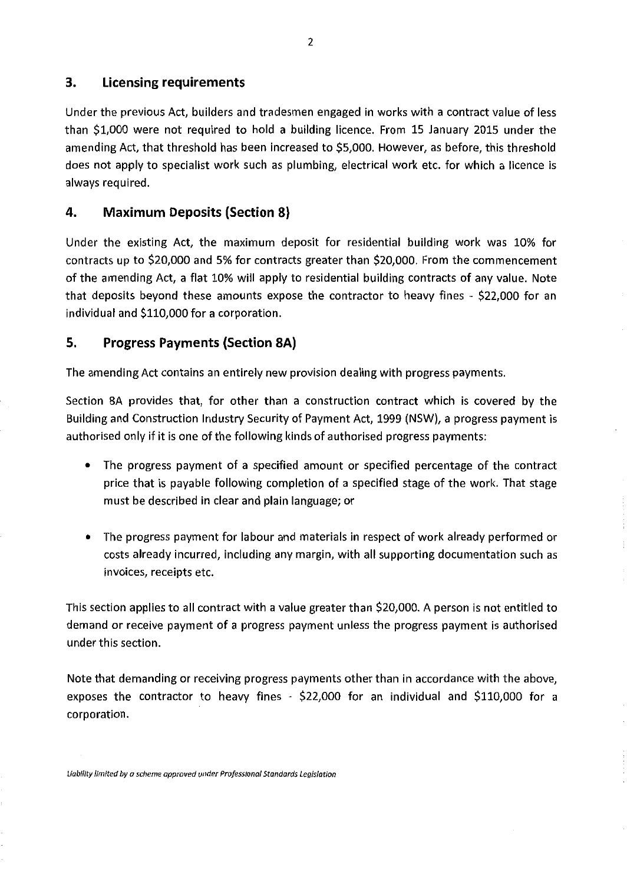## **3. Licensing requirements**

Under the previous Act, builders and tradesmen engaged in works with a contract value of less than \$1,000 were not required to hold a building licence. From 15 January 2015 under the amending Act, that threshold has been increased to \$5,000. However, as before, this threshold does not apply to specialist work such as plumbing, electrical work etc. for which a licence is always required.

## **4. Maximum Deposits (Section 8)**

Under the existing Act, the maximum deposit for residential building work was 10% for contracts up to \$20,000 and 5% for contracts greater than \$20,000. From the commencement of the amending Act, a fIat 10% will apply to residential building contracts of any value. Note that deposits beyond these amounts expose the contractor to heavy fines  $\frac{1}{2}$  \$22,000 for an individual and \$110,000 for a corporation.

## **5. Progress Payments (Section 8A)**

The amending Act contains an entirely new provision dealing with progress payments.

Section 8A provides that, for other than a construction contract which is covered by the Building and Construction Industry Security of Payment Act, 1999 (NSW), a progress payment is authorised only if it is one of the following kinds of authorised progress payments:

- The progress payment of a specified amount or specified percentage of the contract price that is payable following completion of a specified stage of the work. That stage must be described in clear and plain language; or
- The progress payment for labour and materials in respect of work already performed or costs already incurred, including any margin, with all supporting documentation such as invoices, receipts etc.

This section applies to all contract with a value greater than \$20,000. A person is not entitled to demand or receive payment of a progress payment unless the progress payment is authorised under this section.

Note that demanding or receiving progress payments other than in accordance with the above, exposes the contractor to heavy fines - \$22,000 for an individual and \$110,000 for a corporation.

*Liability limited by a scheme approved under Professional Standards Legislation*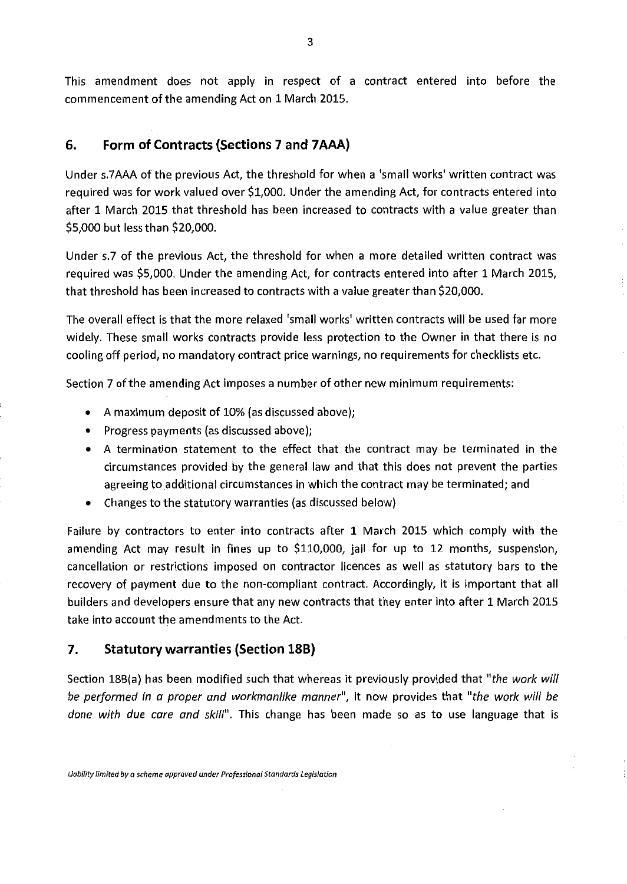This amendment does not apply in respect of a contract entered into before the commencement of the amending Act on 1 March 2015.

# **6. Form of Contracts (Sections 7 and 7AAA)**

Under s.7AAA of the previous Act, the threshold for when a 'small works' written contract was required was for work valued over \$1,000. Under the amending Act, for contracts entered into after 1 March 2015 that threshold has been increased to contracts with a value greater than \$5,000 but less than \$20,000.

Under s.7 of the previous Act, the threshold for when a more detailed written contract was required was \$5,000. Under the amending Act, for contracts entered into after 1 March 2015, that threshold has been increased to contracts with a value greater than \$20,000.

The overall effect is that the more relaxed 'small works' written contracts will be used far more widely. These small works contracts provide less protection to the Owner in that there is no cooling off period, no mandatory contract price warnings, no requirements for checklists etc.

Section 7 of the amending Act imposes a number of other new minimum requirements:

- A maximum deposit of 10% (as discussed above);
- Progress payments (as discussed above);
- A termination statement to the effect that the contract may be terminated in the circumstances provided by the general law and that this does not prevent the parties agreeing to additional circumstances in which the contract may be terminated; and
- Changes to the statutory warranties (as discussed below)

Failure by contractors to enter into contracts after 1 March 2015 which comply with the amending Act may result in fines up to \$110,000, jail for up to 12 months, suspension, cancellation or restrictions imposed on contractor licences as well as statutory bars to the recovery of payment due to the non-compliant contract. Accordingly, it is important that all builders and developers ensure that any new contracts that they enter into after 1 March 2015 take into account the amendments to the Act.

## **7. Statutory warranties (Section 18B)**

Section 18B(a) has been modified such that whereas it previously provided that *"the work will be performed in a proper and workmanlike manner", it now provides that "the work will be done with due* care *and skill". This* change has been made so as to use language that is

*Uobillty limited by a scheme approved under Professional Standards Legislation*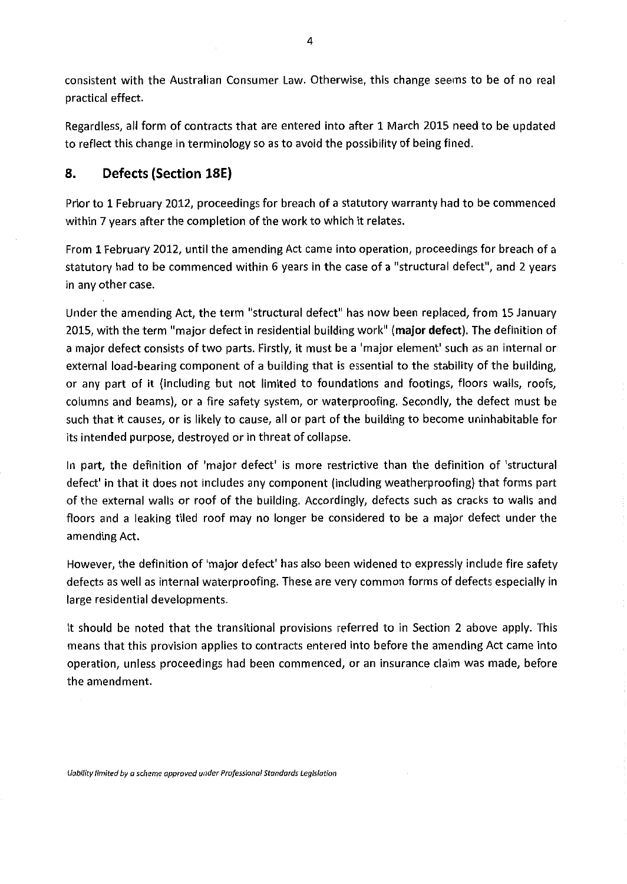consistent with the Australian Consumer Law. Otherwise, this change seems to be of no real practical effect.

Regardless, all form of contracts that are entered into after 1 March 2015 need to be updated to reflect this change in terminology so as to avoid the possibility of being fined,

## **8. Defects (Section 18E)**

Prior to 1 February 2012, proceedings for breach of a statutory warranty had to be commenced within 7 years after the completion of the work to which it relates.

From 1 February 2012, until the amending Act came into operation, proceedings for breach of a statutory had to be commenced within 6 years in the case of a "structural defect", and 2 years in any other case.

Under the amending Act, the term "structural defect" has now been replaced, from 15 January 2015, with the term "major defect in residential building work' **(major defect).** The definition of a major defect consists of two parts. Firstly, it must be a 'major element' such as an internal or external load-bearing component of a building that is essential to the stability of the building, or any part of it (including but not limited to foundations and footings, floors walls, roofs, columns and beams), or a fire safety system, or waterproofing. Secondly, the defect must be such that it causes, or is likely to cause, all or part of the building to become uninhabitable for its intended purpose, destroyed or in threat of collapse.

In part, the definition of 'major defect' is more restrictive than the definition of 'structural defect' in that it does not includes any component (including weatherproofing) that forms part of the external walls or roof of the building. Accordingly, defects such as cracks to walls and floors and a leaking tiled roof may no longer be considered to be a major defect under the amending Act.

However, the definition of 'major defect' has also been widened to expressly include fire safety defects as well as internal waterproofing. These are very common forms of defects especially in large residential developments.

It should be noted that the transitional provisions referred to in Section 2 above apply. This means that this provision applies to contracts entered into before the amending Act came into operation, unless proceedings had been commenced, or an insurance claim was made, before the amendment.

*Lioblity ilmiteci by a scheme approved in der Professional Standards Legislation*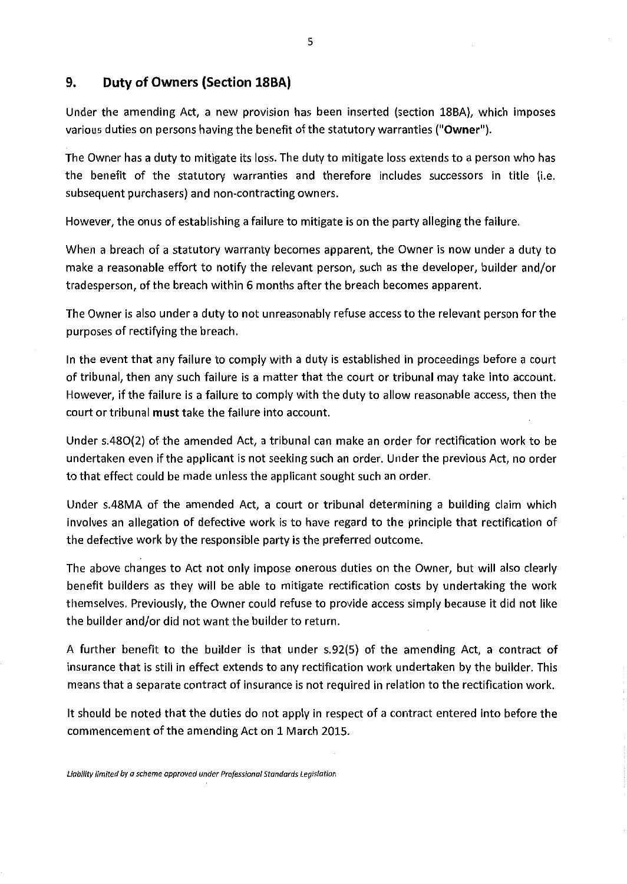### **9. Duty of Owners (Section 18BA)**

Under the amending Act, a new provision has been inserted (Section 18BA), which imposes various duties on persons having the benefit of the statutory warranties ("Owner").

The Owner has a duty to mitigate its loss. The duty to mitigate loss extends to a person who has the benefit of the statutory warranties and therefore includes successors in title (i.e. subsequent purchasers) and non-contracting owners.

However, the onus of establishing a failure to mitigate is on the party alleging the failure.

When a breach of a statutory warranty becomes apparent, the Owner is now under a duty to make a reasonable effort to notify the relevant person, such as the developer, builder and/or tradesperson, of the breach within 6 months after the breach becomes apparent.

The Owner is also under a duty to not unreasonably refuse access to the relevant person for the purposes of rectifying the breach.

In the event that any failure to comply with a duty is established in proceedings before a court of tribunal, then any such failure is a matter that the court or tribunal may take into account. However, if the failure is a failure to comply with the duty to allow reasonable access, then the court or tribunal must take the failure into account.

Under s.480(2) of the amended Act, a tribunal can make an order for rectification work to be undertaken even if the applicant is not seeking such an order. Under the previous Act, no order to that effect could be made unless the applicant sought such an order.

Under s.48MA of the amended Act, a court or tribunal determining a building claim which involves an allegation of defective work is to have regard to the principle that rectification of the defective work by the responsible party is the preferred outcome.

The above changes to Act not only impose onerous duties on the Owner, but will also clearly benefit builders as they will be able to mitigate rectification costs by undertaking the work themselves. Previously, the Owner could refuse to provide access simply because it did not like the builder and/or did not want the builder to return.

A further benefit to the builder is that under s.92(5) of the amending Act, a contract of insurance that is still in effect extends to any rectification work undertaken by the builder. This means that a separate contract of insurance is not required in relation to the rectification work.

It should be noted that the duties do not apply in respect of a contract entered into before the commencement of the amending Act on 1 March 2015.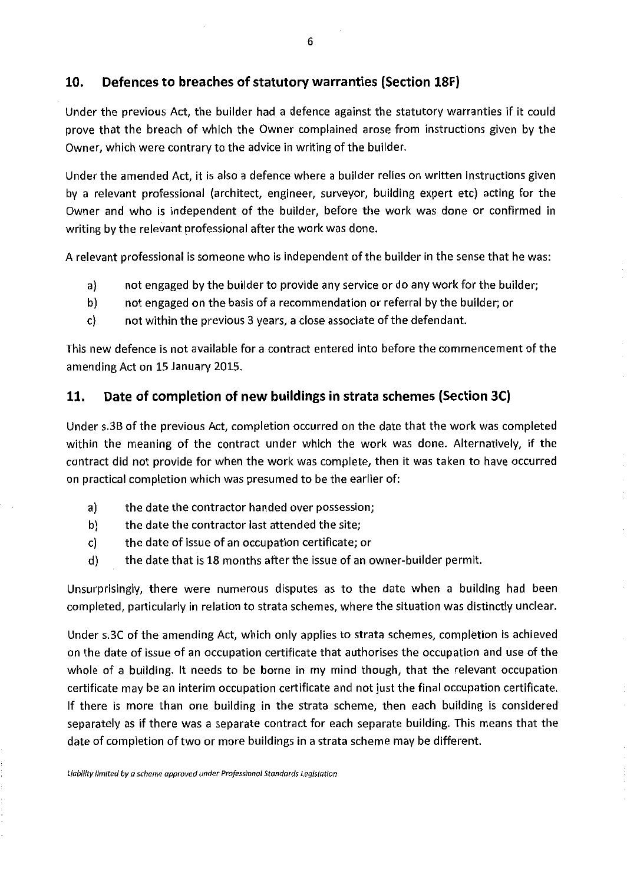### **10. Defences to breaches of statutory warranties (Section 18F)**

Under the previous Act, the builder had a defence against the statutory warranties if it could prove that the breach of which the Owner complained arose from instructions given by the Owner, which were contrary to the advice in writing of the builder.

Under the amended Act, it is also a defence where a builder relies on written instructions given by a relevant professional (architect, engineer, surveyor, building expert etc) acting for the Owner and who is independent of the builder, before the work was done or confirmed in writing by the relevant professional after the work was done.

A relevant professional is someone who is independent of the builder in the sense that he was:

- a) not engaged by the builder to provide any service or do any work for the builder;
- b) not engaged on the basis of a recommendation or referral by the builder; or
- c) not within the previous 3 years, a close associate of the defendant.

This new defence is not available for a contract entered into before the commencement of the amending Act on 15 January 2015.

#### **11. Date of completion of new buildings in strata schemes (Section 3C)**

Under s.3B of the previous Act, completion occurred on the date that the work was completed within the meaning of the contract under which the work was done. Alternatively, if the contract did not provide for when the work was complete, then it was taken to have occurred on practical completion which was presumed to be the earlier of:

- a) the date the contractor handed over possession;
- b) the date the contractor last attended the site;
- c) the date of issue of an occupation certificate; or
- d) the date that is 18 months after the issue of an owner-builder permit.

Unsurprisingly, there were numerous disputes as to the date when a building had been completed, particularly in relation to strata schemes, where the situation was distinctly unclear.

Under s.3C of the amending Act, which only applies to strata schemes, completion is achieved on the date of issue of an occupation certificate that authorises the occupation and use of the whole of a building. It needs to be borne in my mind though, that the relevant occupation certificate may be an interim occupation certificate and not just the final occupation certificate. If there is more than one building in the strata scheme, then each building is considered separately as if there was a separate contract for each separate building. This means that the date of completion of two or more buildings in a strata scheme may be different.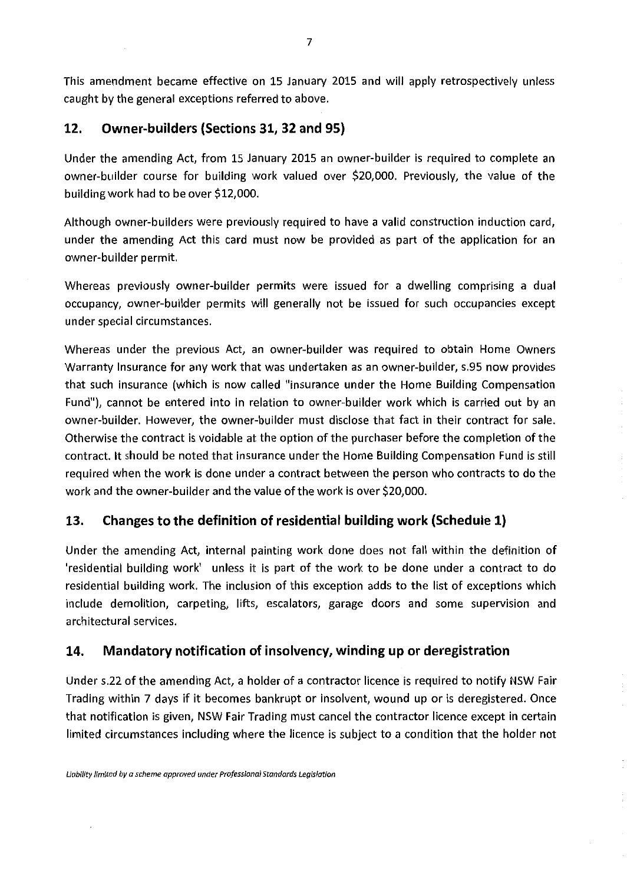This amendment became effective on 15 January 2015 and will apply retrospectively unless caught by the general exceptions referred to above.

## **12. Owner-builders (Sections 31, 32 and 95)**

Under the amending Act, from 15 January 2015 an owner-builder is required to complete an owner-builder course for building work valued over \$20,000. Previously, the value of the building work had to be over \$12,000.

Although owner-builders were previously required to have a valid construction induction card, under the amending Act this card must now be provided as part of the application for an owner-builder permit.

Whereas previously owner-builder permits were issued for a dwelling comprising a dual occupancy, owner-builder permits will generally not be issued for such occupancies except under special circumstances.

Whereas under the previous Act, an owner-builder was required to obtain Home Owners Warranty Insurance for any work that was undertaken as an owner-builder, s.95 now provides that such insurance (which is now called "insurance under the Home Building Compensation Fund"), cannot be entered into in relation to owner-builder work which is carried out by an owner-builder. However, the owner-builder must disclose that fact in their contract for sale. Otherwise the contract is voidable at the option of the purchaser before the completion of the contract, It should be noted that insurance under the Home Building Compensation Fund is still required when the work is done under a contract between the person who contracts to do the work and the owner-builder and the value of the work is over \$20,000.

## **13. Changes to the definition of residential building work (Schedule 1)**

Under the amending Act, internal painting work done does not fall within the definition of 'residential building work' unless it is part of the work to be done under a contract to do residential building work. The inclusion of this exception adds to the list of exceptions which include demolition, carpeting, lifts, escalators, garage doors and some supervision and architectural services.

## **14. Mandatory notification of insolvency, winding up or deregistration**

Under s.22 of the amending Act, a holder of a contractor licence is required to notify NSW Fair Trading within 7 days if it becomes bankrupt or insolvent, wound up or is deregistered. Once that notification is given, NSW Fair Trading must cancel the contractor licence except in certain limited circumstances including where the licence is subject to a condition that the holder not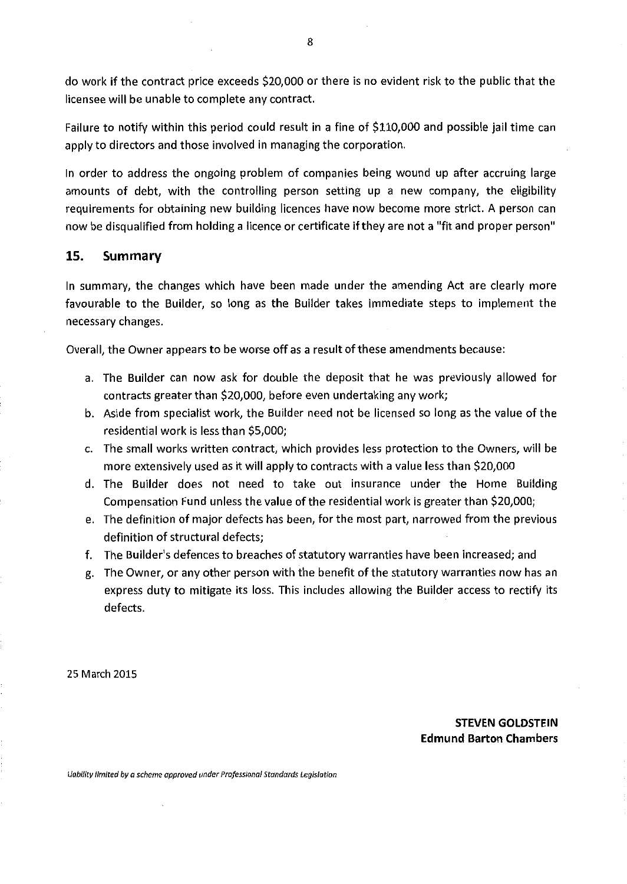do work if the contract price exceeds \$20,000 or there is no evident risk to the public that the licensee will be unable to complete any contract.

Failure to notify within this period could result in a fine of \$110,000 and possible jail time can apply to directors and those involved in managing the corporation.

In order to address the ongoing problem of companies being wound up after accruing large amounts of debt, with the controlling person setting up a new company, the eligibility requirements for obtaining new building licences have now become more strict. A person can now be disqualified from holding a licence or certificate if they are not a "fit and proper person"

#### **15. Summary**

In summary, the changes which have been made under the amending Act are clearly more favourable to the Builder, so long as the Builder takes immediate steps to implement the necessary changes.

Overall, the Owner appears to be worse off as a result of these amendments because:

- a. The Builder can now ask for double the deposit that he was previously allowed for contracts greater than \$20,000, before even undertaking any work;
- b. Aside from specialist work, the Builder need not be licensed so long as the value of the residential work is less than \$5,000;
- c. The small works written contract, which provides less protection to the Owners, will be more extensively used as it will apply to contracts with a value less than \$20,000
- d. The Builder does not need to take out insurance under the Home Building Compensation Fund unless the value of the residential work is greater than \$20,000;
- e. The definition of major defects has been, for the most part, narrowed from the previous definition of structural defects;
- f. The Builder's defences to breaches of statutory warranties have been increased; and
- g. The Owner, or any other person with the benefit of the statutory warranties now has an express duty to mitigate its loss. This includes allowing the Builder access to rectify its defects.

25 March 2015

**STEVEN GOLDSTEIN Edmund Barton Chambers**

*&ioM/ity limited by a scheme approved under Professional Standards Legislation*